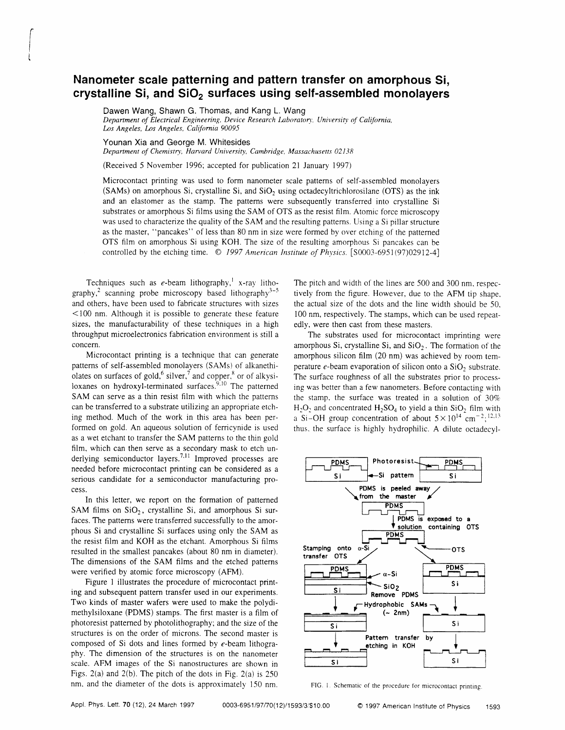## Nanometer scale patterning and pattern transfer on amorphous Si, crystalline Si, and  $SiO<sub>2</sub>$  surfaces using self-assembled monolayers

Dawen Wang, Shawn G. Thomas, and Kang L. Wang Department of Electrical Engineering, Device Research Laboratory, University of California, Los Angeles, Los Angeles, California 90095

## Younan Xia and George M. Whitesides

 $\begin{bmatrix} 1 & 1 \\ 1 & 1 \end{bmatrix}$ 

t

Department of Chemistry, Harvard University, Cambridge, Massachusetts 02138

(Received 5 November 1996; accepted for publication 21 January 1997)

Microcontact printing was used to form nanometer scale patterns of self-assembled monolayers (SAMs) on amorphous Si, crystalline Si, and  $SiO<sub>2</sub>$  using octadecyltrichlorosilane (OTS) as the ink and an elastomer as the stamp. The patterns were subsequently transfened into crystalline Si substrates or amorphous Si films using the SAM of OTS as the resist film. Atomic force microscopy was used to characterize the quality of the SAM and the resulting patterns. Using a Si pillar structure as the master, "pancakes" of less than 80 nm in size were formed by over etching of the patterned OTS film on amorphous Si using KOH. The size of the resulting amorphous Si pancakes can be controlled by the etching time.  $\odot$  1997 American Institute of Physics. [S0003-6951(97)02912-4]

Techniques such as e-beam lithography,<sup>1</sup> x-ray lithography,<sup>2</sup> scanning probe microscopy based lithography<sup>3-5</sup> and others, have been used to fabricate structures with sizes <100 nm. Although it is possible to generate these feature sizes, the manufacturability of these techniques in a high throughput microelectronics fabrication environment is still a concern.

Microcontact printing is a technique that can generate patterns of self-assembled monolayers (SAMs) of alkanethiolates on surfaces of gold,<sup>6</sup> silver,<sup>7</sup> and copper,<sup>8</sup> or of alkysiloxanes on hydroxyl-terminated surfaces.<sup>9,10</sup> The patterned SAM can serve as a thin resist film with which the patterns can be transferred to a substrate utilizing an appropnate etching method. Much of the work in this area has been performed on gold. An aqueous solution of ferricynide is used as a wet etchant to transfer the SAM patterns to the thin gold film, which can then serve as a secondary mask to etch underlying semiconductor layers.<sup>7,11</sup> Improved processes are needed before microcontact printing can be considered as a serious candidate for a semiconductor manufacturing process.

In this letter, we report on the formation of patterned SAM films on  $SiO<sub>2</sub>$ , crystalline Si, and amorphous Si surfaces. The patterns were transferred successfully to the amorphous Si and crystalline Si surfaces using only the SAM as the resist film and KOH as the etchant. Amorphous Si films resulted in the smallest pancakes (about 80 nm in diameter). The dimensions of the SAM films and the etched patterns were verified by atomic force microscopy (AFM).

Figure I illustrates the procedure of microcontact printing and subsequent pattern transfer used in our experiments. Two kinds of master wafers were used to make the polydimethylsiloxane (PDMS) stamps. The first master is a film of photoresist patterned by photolithography; and the size of the structures is on the order of microns. The second master is composed of Si dots and lines formed by e-beam lithography. The dimension of the structures is on the nanometer scale. AFM images of the Si nanostructures are shown in Figs. 2(a) and 2(b). The pitch of the dots in Fig. 2(a) is 250 nm, and the diameter of the dots is approximatelv 150 nm. The pitch and width of the lines are 500 and 300 nm, respectively from the figure. However, due to the AFM tip shape. the actual size of the dots and the line wrdth should be 50. 100 nm, respectively. The stamps, which can be used repeatedly, were then cast from these masters.

The substrates used for microcontact imprinting were amorphous Si, crystalline Si, and  $SiO<sub>2</sub>$ . The formation of the amorphous silicon film (20 nm) was achieved by room temperature  $e$ -beam evaporation of silicon onto a  $SiO<sub>2</sub>$  substrate. The surface roughness of all the substrates prior to processing was better than a few nanometers. Before contacting with the stamp, the surface was treated in a solution of  $30\%$  $H_2O_2$  and concentrated  $H_2SO_4$  to yield a thin SiO<sub>2</sub> film with a Si-OH group concentration of about  $5 \times 10^{14}$  cm<sup>-2</sup>;<sup>12,13</sup> thus, the surface is highly hydrophilic. A dilute octadecyl-



FIG. 1. Schematic of the procedure for microcontact printing.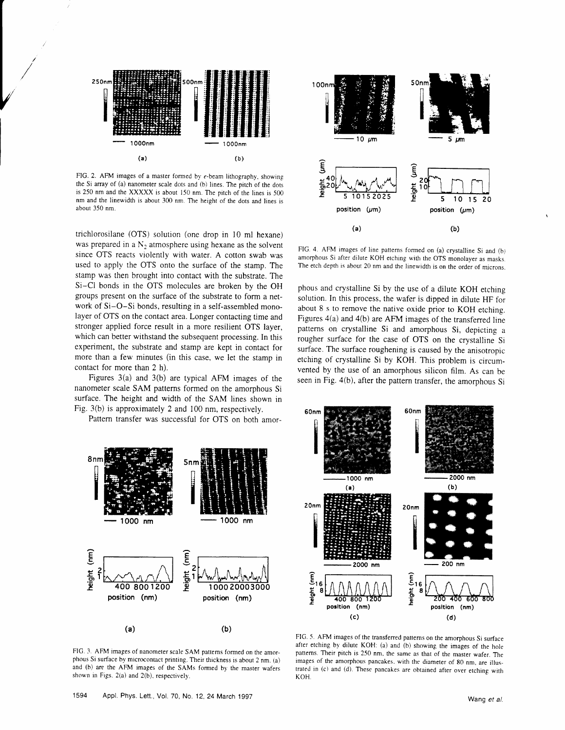

/

FIG. 2. AFM images of a master formed by  $e$ -beam lithography, showing the Si array of (a) nanometer scale dots and (b) lines. The pitch of the dots is 250 nm and the XXXXX is about 150 nm. The pitch of the lines is 500 nm and the linewidth is about 300 nm. The height of the dots and lines is about 350 nm.

trichlorosilane (OTS) solution (one drop in l0 ml hexane) was prepared in a  $N_2$  atmosphere using hexane as the solvent since OTS reacts violently with water. A cotton swab was used to apply the OTS onto the surface of the stamp. The stamp was then brought into contact with the substrate. The Si-Cl bonds in the OTS molecules are broken by the OH groups present on the surface of the substrate to form a network of Si-O-Si bonds, resulting in a self-assembled monolayer of OTS on the contact area. Longer contacting time and stronger applied force result in a more resilient OTS layer, which can better withstand the subsequent processing. In this experiment, the substrate and stamp are kept in contact for more than a few minutes (in this case, we let the stamp in contact for more than 2 h).

Figures  $3(a)$  and  $3(b)$  are typical AFM images of the nanometer scale SAM patterns formed on the amorphous Si surface. The height and width of the SAM lines shown in Fig. 3(b) is approximately 2 and 100 nm, respectively.

Pattem transfer was successful for OTS on both amor-



FIG. 3. AFM images of nanometer scale SAM patterns formed on the amorphous Si surface by microcontact printing. Their thickness is abour 2 nm. (a) and (b) are the AFM images of the SAMs formed by the master wafers shown in Figs. 2(a) and 2(b), respectively.



FIG. 4. AFM images of line patterns formed on (a) crystalline Si and (b) amorphous Si after dilute KOH etching with the OTS monolayer as masks. The etch depth is about 20 nm and the linewidth is on the order of microns.

phous and crystalline Si by the use of a dilute KOH etching solution, In this process, the wafer is dipped in dilute HF for about 8 s to remove the native oxide prior to KOH etching. Figures 4(a) and 4(b) are AFM images of the transferred line patterns on crystalline Si and amorphous Si, depicting a rougher surface for the case of OTS on the crystalline Si surface. The surface roughening is caused by the anisotropic etching of crystalline Si by KOH. This problem is circumvented by the use of an amorphous silicon film. As can be seen in Fig. 4(b), after the pattern transfer, the amorphous Si



FIG. 5. AFM images of the transferred patterns on the amorphous Si surface after etching by dilute KOH: (a) and (b) showing the images of the hole patterns. Their pitch is 250 nm, the same as that of the master wafer. The images of the amorphous pancakes, with the diameter of 80 nm, are illustrated in (c) and (d). These pancakes are obtained after over etching with **KOH**